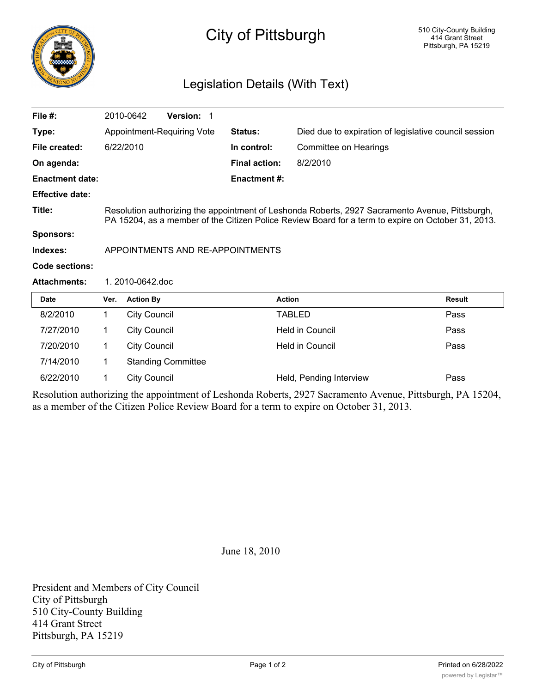

## City of Pittsburgh

## Legislation Details (With Text)

| File $#$ :             |                                                                                                                                                                                                       | 2010-0642           | Version: 1                 |                      |                                                       |               |
|------------------------|-------------------------------------------------------------------------------------------------------------------------------------------------------------------------------------------------------|---------------------|----------------------------|----------------------|-------------------------------------------------------|---------------|
| Type:                  |                                                                                                                                                                                                       |                     | Appointment-Requiring Vote | Status:              | Died due to expiration of legislative council session |               |
| File created:          |                                                                                                                                                                                                       | 6/22/2010           |                            | In control:          | Committee on Hearings                                 |               |
| On agenda:             |                                                                                                                                                                                                       |                     |                            | <b>Final action:</b> | 8/2/2010                                              |               |
| <b>Enactment date:</b> |                                                                                                                                                                                                       |                     |                            | <b>Enactment #:</b>  |                                                       |               |
| <b>Effective date:</b> |                                                                                                                                                                                                       |                     |                            |                      |                                                       |               |
| Title:                 | Resolution authorizing the appointment of Leshonda Roberts, 2927 Sacramento Avenue, Pittsburgh,<br>PA 15204, as a member of the Citizen Police Review Board for a term to expire on October 31, 2013. |                     |                            |                      |                                                       |               |
| <b>Sponsors:</b>       |                                                                                                                                                                                                       |                     |                            |                      |                                                       |               |
| Indexes:               | APPOINTMENTS AND RE-APPOINTMENTS                                                                                                                                                                      |                     |                            |                      |                                                       |               |
| Code sections:         |                                                                                                                                                                                                       |                     |                            |                      |                                                       |               |
| <b>Attachments:</b>    | 1.2010-0642.doc                                                                                                                                                                                       |                     |                            |                      |                                                       |               |
| <b>Date</b>            | Ver.                                                                                                                                                                                                  | <b>Action By</b>    |                            |                      | <b>Action</b>                                         | <b>Result</b> |
| 8/2/2010               | 1.                                                                                                                                                                                                    | <b>City Council</b> |                            |                      | <b>TABLED</b>                                         | Pass          |
| 7/27/2010              | 1                                                                                                                                                                                                     | <b>City Council</b> |                            |                      | <b>Held in Council</b>                                | Pass          |
| 7/20/2010              | $\mathbf 1$                                                                                                                                                                                           | <b>City Council</b> |                            |                      | <b>Held in Council</b>                                | Pass          |
| 7/14/2010              | 1<br><b>Standing Committee</b>                                                                                                                                                                        |                     |                            |                      |                                                       |               |
| 6/22/2010              | $\mathbf 1$                                                                                                                                                                                           | <b>City Council</b> |                            |                      | Held, Pending Interview                               | Pass          |

Resolution authorizing the appointment of Leshonda Roberts, 2927 Sacramento Avenue, Pittsburgh, PA 15204, as a member of the Citizen Police Review Board for a term to expire on October 31, 2013.

June 18, 2010

President and Members of City Council City of Pittsburgh 510 City-County Building 414 Grant Street Pittsburgh, PA 15219